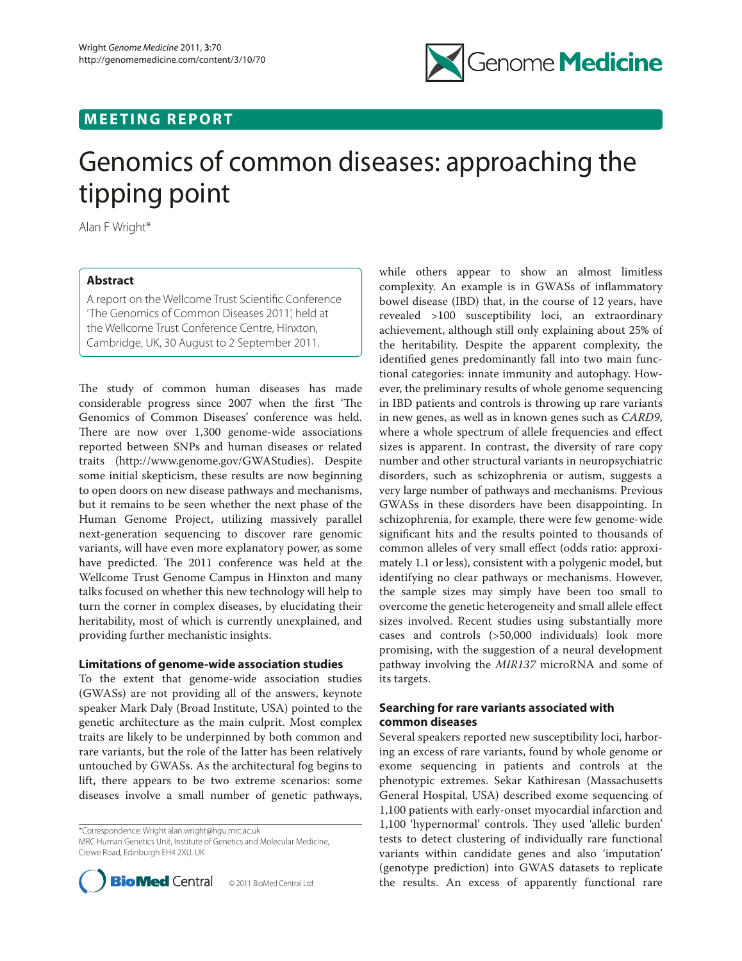# **MEETING REPORT**



# Genomics of common diseases: approaching the tipping point

Alan F Wright\*

### **Abstract**

A report on the Wellcome Trust Scientific Conference 'The Genomics of Common Diseases 2011', held at the Wellcome Trust Conference Centre, Hinxton, Cambridge, UK, 30 August to 2 September 2011.

The study of common human diseases has made considerable progress since 2007 when the first 'The Genomics of Common Diseases' conference was held. There are now over  $1,300$  genome-wide associations reported between SNPs and human diseases or related traits (http://www.genome.gov/GWAStudies). Despite some initial skepticism, these results are now beginning to open doors on new disease pathways and mechanisms, but it remains to be seen whether the next phase of the Human Genome Project, utilizing massively parallel next-generation sequencing to discover rare genomic variants, will have even more explanatory power, as some have predicted. The 2011 conference was held at the Wellcome Trust Genome Campus in Hinxton and many talks focused on whether this new technology will help to turn the corner in complex diseases, by elucidating their heritability, most of which is currently unexplained, and providing further mechanistic insights.

#### **Limitations of genome-wide association studies**

To the extent that genome-wide association studies (GWASs) are not providing all of the answers, keynote speaker Mark Daly (Broad Institute, USA) pointed to the genetic architecture as the main culprit. Most complex traits are likely to be underpinned by both common and rare variants, but the role of the latter has been relatively untouched by GWASs. As the architectural fog begins to lift, there appears to be two extreme scenarios: some diseases involve a small number of genetic pathways,

\*Correspondence: Wright alan.wright@hgu.mrc.ac.uk MRC Human Genetics Unit, Institute of Genetics and Molecular Medicine, Crewe Road, Edinburgh EH4 2XU, UK



while others appear to show an almost limitless complexity. An example is in GWASs of inflammatory bowel disease (IBD) that, in the course of 12 years, have revealed >100 susceptibility loci, an extraordinary achievement, although still only explaining about 25% of the heritability. Despite the apparent complexity, the identified genes predominantly fall into two main functional categories: innate immunity and autophagy. However, the preliminary results of whole genome sequencing in IBD patients and controls is throwing up rare variants in new genes, as well as in known genes such as *CARD9*, where a whole spectrum of allele frequencies and effect sizes is apparent. In contrast, the diversity of rare copy number and other structural variants in neuropsychiatric disorders, such as schizophrenia or autism, suggests a very large number of pathways and mechanisms. Previous GWASs in these disorders have been disappointing. In schizophrenia, for example, there were few genome-wide significant hits and the results pointed to thousands of common alleles of very small effect (odds ratio: approximately 1.1 or less), consistent with a polygenic model, but identifying no clear pathways or mechanisms. However, the sample sizes may simply have been too small to overcome the genetic heterogeneity and small allele effect sizes involved. Recent studies using substantially more cases and controls (>50,000 individuals) look more promising, with the suggestion of a neural development pathway involving the *MIR137* microRNA and some of its targets.

# **Searching for rare variants associated with common diseases**

Several speakers reported new susceptibility loci, harboring an excess of rare variants, found by whole genome or exome sequencing in patients and controls at the phenotypic extremes. Sekar Kathiresan (Massachusetts General Hospital, USA) described exome sequencing of 1,100 patients with early-onset myocardial infarction and 1,100 'hypernormal' controls. They used 'allelic burden' tests to detect clustering of individually rare functional variants within candidate genes and also 'imputation' (genotype prediction) into GWAS datasets to replicate the results. An excess of apparently functional rare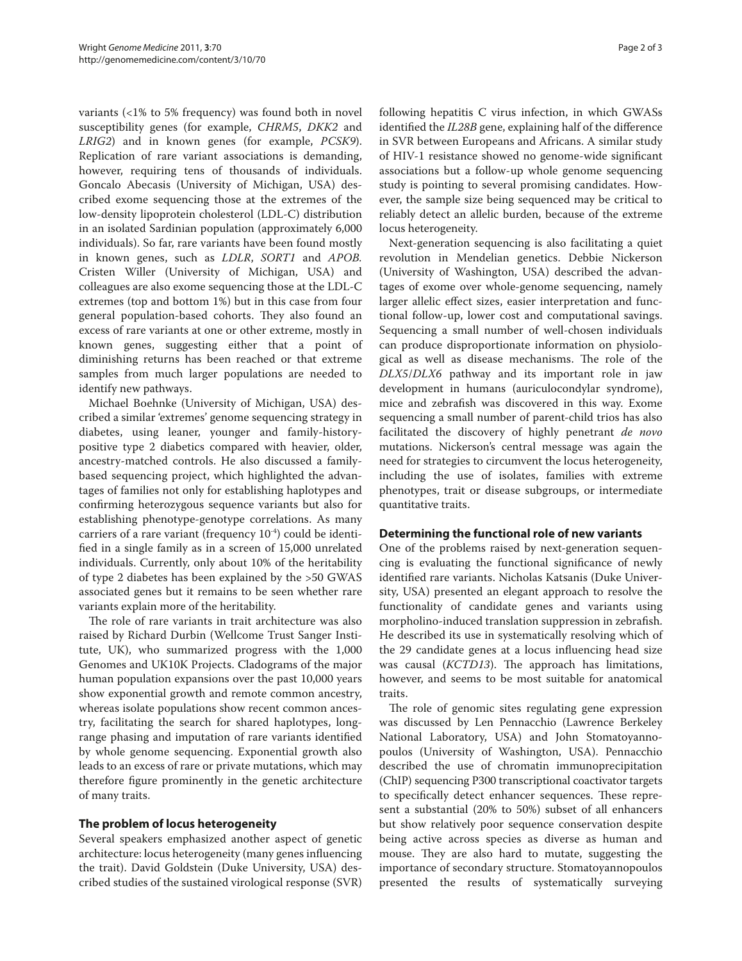variants (<1% to 5% frequency) was found both in novel susceptibility genes (for example, *CHRM5*, *DKK2* and *LRIG2*) and in known genes (for example, *PCSK9*). Replication of rare variant associations is demanding, however, requiring tens of thousands of individuals. Goncalo Abecasis (University of Michigan, USA) described exome sequencing those at the extremes of the low-density lipoprotein cholesterol (LDL-C) distribution in an isolated Sardinian population (approximately 6,000 individuals). So far, rare variants have been found mostly in known genes, such as *LDLR*, *SORT1* and *APOB.*  Cristen Willer (University of Michigan, USA) and colleagues are also exome sequencing those at the LDL-C extremes (top and bottom 1%) but in this case from four general population-based cohorts. They also found an excess of rare variants at one or other extreme, mostly in known genes, suggesting either that a point of diminishing returns has been reached or that extreme samples from much larger populations are needed to identify new pathways.

Michael Boehnke (University of Michigan, USA) described a similar 'extremes' genome sequencing strategy in diabetes, using leaner, younger and family-historypositive type 2 diabetics compared with heavier, older, ancestry-matched controls. He also discussed a familybased sequencing project, which highlighted the advantages of families not only for establishing haplotypes and confirming heterozygous sequence variants but also for establishing phenotype-genotype correlations. As many carriers of a rare variant (frequency  $10^{-4}$ ) could be identified in a single family as in a screen of 15,000 unrelated individuals. Currently, only about 10% of the heritability of type 2 diabetes has been explained by the >50 GWAS associated genes but it remains to be seen whether rare variants explain more of the heritability.

The role of rare variants in trait architecture was also raised by Richard Durbin (Wellcome Trust Sanger Institute, UK), who summarized progress with the 1,000 Genomes and UK10K Projects. Cladograms of the major human population expansions over the past 10,000 years show exponential growth and remote common ancestry, whereas isolate populations show recent common ancestry, facilitating the search for shared haplotypes, longrange phasing and imputation of rare variants identified by whole genome sequencing. Exponential growth also leads to an excess of rare or private mutations, which may therefore figure prominently in the genetic architecture of many traits.

#### **The problem of locus heterogeneity**

Several speakers emphasized another aspect of genetic architecture: locus heterogeneity (many genes influencing the trait). David Goldstein (Duke University, USA) described studies of the sustained virological response (SVR) following hepatitis C virus infection, in which GWASs identified the *IL28B* gene, explaining half of the difference in SVR between Europeans and Africans. A similar study of HIV-1 resistance showed no genome-wide significant associations but a follow-up whole genome sequencing study is pointing to several promising candidates. However, the sample size being sequenced may be critical to reliably detect an allelic burden, because of the extreme locus heterogeneity.

Next-generation sequencing is also facilitating a quiet revolution in Mendelian genetics. Debbie Nickerson (University of Washington, USA) described the advantages of exome over whole-genome sequencing, namely larger allelic effect sizes, easier interpretation and functional follow-up, lower cost and computational savings. Sequencing a small number of well-chosen individuals can produce disproportionate information on physiological as well as disease mechanisms. The role of the *DLX5*/*DLX6* pathway and its important role in jaw development in humans (auriculocondylar syndrome), mice and zebrafish was discovered in this way. Exome sequencing a small number of parent-child trios has also facilitated the discovery of highly penetrant *de novo* mutations. Nickerson's central message was again the need for strategies to circumvent the locus heterogeneity, including the use of isolates, families with extreme phenotypes, trait or disease subgroups, or intermediate quantitative traits.

#### **Determining the functional role of new variants**

One of the problems raised by next-generation sequencing is evaluating the functional significance of newly identified rare variants. Nicholas Katsanis (Duke University, USA) presented an elegant approach to resolve the functionality of candidate genes and variants using morpholino-induced translation suppression in zebrafish. He described its use in systematically resolving which of the 29 candidate genes at a locus influencing head size was causal (*KCTD13*). The approach has limitations, however, and seems to be most suitable for anatomical traits.

The role of genomic sites regulating gene expression was discussed by Len Pennacchio (Lawrence Berkeley National Laboratory, USA) and John Stomatoyannopoulos (University of Washington, USA). Pennacchio described the use of chromatin immunoprecipitation (ChIP) sequencing P300 transcriptional coactivator targets to specifically detect enhancer sequences. These represent a substantial (20% to 50%) subset of all enhancers but show relatively poor sequence conservation despite being active across species as diverse as human and mouse. They are also hard to mutate, suggesting the importance of secondary structure. Stomatoyannopoulos presented the results of systematically surveying